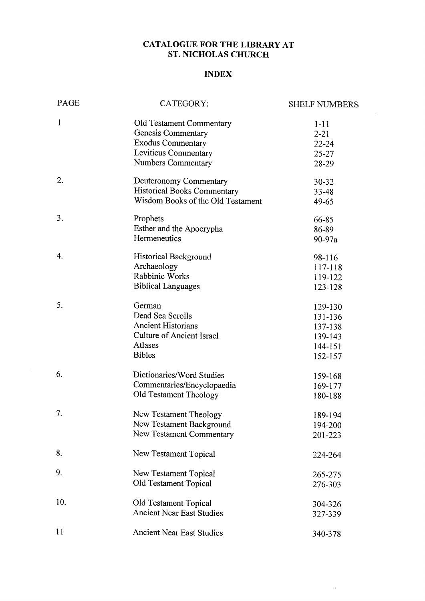#### CATALOGUE FOR THE LIBRARY AT ST. NICHOLAS CHURCH

#### INDEX

| PAGE         | CATEGORY:                                             | <b>SHELF NUMBERS</b> |
|--------------|-------------------------------------------------------|----------------------|
| $\mathbf{1}$ | <b>Old Testament Commentary</b><br>Genesis Commentary | $1 - 11$<br>$2 - 21$ |
|              | <b>Exodus Commentary</b>                              | $22 - 24$            |
|              | Leviticus Commentary                                  | $25 - 27$            |
|              | <b>Numbers Commentary</b>                             | 28-29                |
| 2.           | Deuteronomy Commentary                                | $30 - 32$            |
|              | <b>Historical Books Commentary</b>                    | $33 - 48$            |
|              | Wisdom Books of the Old Testament                     | 49-65                |
| 3.           | Prophets                                              | 66-85                |
|              | Esther and the Apocrypha                              | 86-89                |
|              | Hermeneutics                                          | 90-97a               |
| 4.           | <b>Historical Background</b>                          | 98-116               |
|              | Archaeology                                           | 117-118              |
|              | Rabbinic Works                                        | 119-122              |
|              | <b>Biblical Languages</b>                             | 123-128              |
| 5.           | German                                                | 129-130              |
|              | Dead Sea Scrolls                                      | 131-136              |
|              | <b>Ancient Historians</b>                             | 137-138              |
|              | <b>Culture of Ancient Israel</b>                      | 139-143              |
|              | <b>Atlases</b>                                        | 144-151              |
|              | <b>Bibles</b>                                         | 152-157              |
| 6.           | Dictionaries/Word Studies                             | 159-168              |
|              | Commentaries/Encyclopaedia                            | 169-177              |
|              | Old Testament Theology                                | 180-188              |
| 7.           | New Testament Theology                                | 189-194              |
|              | New Testament Background                              | 194-200              |
|              | New Testament Commentary                              | 201-223              |
| 8.           | New Testament Topical                                 | 224-264              |
| 9.           | <b>New Testament Topical</b>                          | 265-275              |
|              | Old Testament Topical                                 | 276-303              |
|              |                                                       |                      |
| 10.          | Old Testament Topical                                 | 304-326              |
|              | <b>Ancient Near East Studies</b>                      | 327-339              |
| 11           | <b>Ancient Near East Studies</b>                      | 340-378              |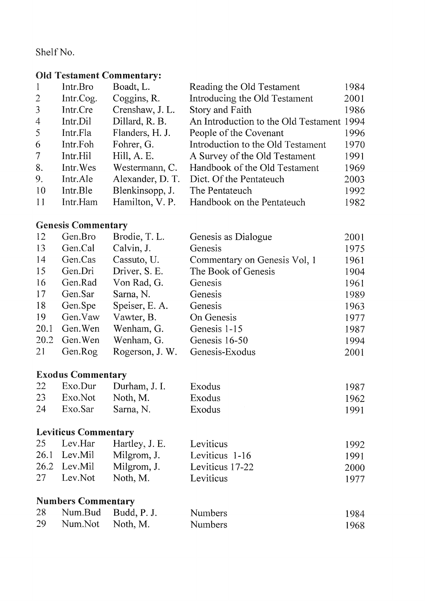#### Shelf No.

## Old Testament Commentary:

| -1             | Intr.Bro  | Boadt, L.        | Reading the Old Testament                 | 1984 |
|----------------|-----------|------------------|-------------------------------------------|------|
| $\overline{2}$ | Intr.Cog. | Coggins, R.      | Introducing the Old Testament             | 2001 |
| 3              | Intr.Cre  | Crenshaw, J. L.  | Story and Faith                           | 1986 |
| $\overline{4}$ | Intr.Dil  | Dillard, R. B.   | An Introduction to the Old Testament 1994 |      |
| 5              | Intr.Fla  | Flanders, H. J.  | People of the Covenant                    | 1996 |
| 6              | Intr.Foh  | Fohrer, G.       | Introduction to the Old Testament         | 1970 |
| $\tau$         | Intr.Hil  | Hill, A. E.      | A Survey of the Old Testament             | 1991 |
| 8.             | Intr. Wes | Westermann, C.   | Handbook of the Old Testament             | 1969 |
| 9.             | Intr.Ale  | Alexander, D. T. | Dict. Of the Pentateuch                   | 2003 |
| 10             | Intr.Ble  | Blenkinsopp, J.  | The Pentateuch                            | 1992 |
| 11             | Intr.Ham  | Hamilton, V.P.   | Handbook on the Pentateuch                | 1982 |

# Genesis Commentary

| 12   | Gen.Bro  | Brodie, T.L.    | Genesis as Dialogue          | 2001 |
|------|----------|-----------------|------------------------------|------|
| 13   | Gen.Cal  | Calvin, J.      | Genesis                      | 1975 |
| 14   | Gen.Cas  | Cassuto, U.     | Commentary on Genesis Vol, 1 | 1961 |
| 15   | Gen.Dri  | Driver, S. E.   | The Book of Genesis          | 1904 |
| 16   | Gen.Rad  | Von Rad, G.     | Genesis                      | 1961 |
| 17   | Gen.Sar  | Sarna, N.       | Genesis                      | 1989 |
| 18   | Gen.Spe  | Speiser, E. A.  | Genesis                      | 1963 |
| 19   | Gen. Vaw | Vawter, B.      | On Genesis                   | 1977 |
| 20.1 | Gen. Wen | Wenham, G.      | Genesis 1-15                 | 1987 |
| 20.2 | Gen. Wen | Wenham, G.      | Genesis 16-50                | 1994 |
| 21   | Gen.Rog  | Rogerson, J. W. | Genesis-Exodus               | 2001 |
|      |          |                 |                              |      |

# Exodus Commentary

|    |                     | 22 Exo.Dur Durham, J. I. | Exodus | 1987 |
|----|---------------------|--------------------------|--------|------|
|    | 23 Exo.Not Noth, M. |                          | Exodus | 1962 |
| 24 | Exo.Sar             | Sarna, N.                | Exodus | 1991 |

## Leviticus Commentary

| 25    | Lev.Har      | Hartley, J. E. | Leviticus       | 1992 |
|-------|--------------|----------------|-----------------|------|
|       | 26.1 Lev.Mil | Milgrom, J.    | Leviticus 1-16  | 1991 |
|       | 26.2 Lev.Mil | Milgrom, J.    | Leviticus 17-22 | 2000 |
| -27 - | Lev.Not      | Noth, M.       | Leviticus       | 1977 |

# Numbers Commentary

| 28 |                  | Num.Bud Budd, P. J. | Numbers        | 1984 |
|----|------------------|---------------------|----------------|------|
| 29 | Num.Not Noth, M. |                     | <b>Numbers</b> | 1968 |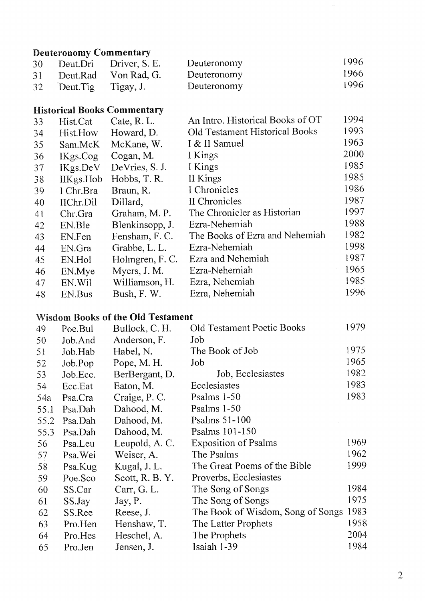## **Deuteronomy Commentary**

| 30 <sup>7</sup> |                        | Deut.Dri Driver, S. E.  | Deuteronomy | 1996 |
|-----------------|------------------------|-------------------------|-------------|------|
|                 |                        | 31 Deut.Rad Von Rad, G. | Deuteronomy | 1966 |
|                 | 32 Deut. Tig Tigay, J. |                         | Deuteronomy | 1996 |

# **Historical Books Commentary**

|    |                  | <b>HISWITCAL DOURS COMMUNICALY</b> |                                  |      |
|----|------------------|------------------------------------|----------------------------------|------|
| 33 | Hist.Cat         | Cate, R.L.                         | An Intro. Historical Books of OT | 1994 |
| 34 | Hist.How         | Howard, D.                         | Old Testament Historical Books   | 1993 |
| 35 | Sam.McK          | McKane, W.                         | I & II Samuel                    | 1963 |
| 36 | IKgs.Cog         | Cogan, M.                          | I Kings                          | 2000 |
| 37 | IKgs.DeV         | DeVries, S. J.                     | I Kings                          | 1985 |
| 38 | <b>IIKgs.Hob</b> | Hobbs, T.R.                        | II Kings                         | 1985 |
| 39 | I Chr.Bra        | Braun, R.                          | I Chronicles                     | 1986 |
| 40 | IIChr.Dil        | Dillard,                           | II Chronicles                    | 1987 |
| 41 | Chr.Gra          | Graham, M. P.                      | The Chronicler as Historian      | 1997 |
| 42 | EN.Ble           | Blenkinsopp, J.                    | Ezra-Nehemiah                    | 1988 |
| 43 | EN.Fen           | Fensham, F.C.                      | The Books of Ezra and Nehemiah   | 1982 |
| 44 | EN.Gra           | Grabbe, L. L.                      | Ezra-Nehemiah                    | 1998 |
| 45 | EN.Hol           | Holmgren, F. C.                    | Ezra and Nehemiah                | 1987 |
| 46 | EN.Mye           | Myers, J. M.                       | Ezra-Nehemiah                    | 1965 |
| 47 | EN.Wil           | Williamson, H.                     | Ezra, Nehemiah                   | 1985 |
| 48 | EN.Bus           | Bush, F. W.                        | Ezra, Nehemiah                   | 1996 |
|    |                  |                                    |                                  |      |

## **Wisdom Books of the Old Testament**

| 49   | Poe.Bul  | Bullock, C. H.  | <b>Old Testament Poetic Books</b> | 1979. |
|------|----------|-----------------|-----------------------------------|-------|
| 50   | Job.And  | Anderson, F.    | Job                               |       |
| 51   | Job.Hab  | Habel, N.       | The Book of Job                   | 1975  |
| 52   | Job.Pop  | Pope, M. H.     | Job                               | 1965  |
| 53   | Job.Ecc. | BerBergant, D.  | Job, Ecclesiastes                 | 1982  |
| 54   | Ecc.Eat  | Eaton, M.       | Ecclesiastes                      | 1983  |
| 54a  | Psa.Cra  | Craige, P. C.   | Psalms 1-50                       | 1983  |
| 55.1 | Psa.Dah  | Dahood, M.      | Psalms $1-50$                     |       |
| 55.2 | Psa.Dah  | Dahood, M.      | Psalms $51-100$                   |       |
| 55.3 | Psa.Dah  | Dahood, M.      | Psalms 101-150                    |       |
| 56   | Psa.Leu  | Leupold, A.C.   | <b>Exposition of Psalms</b>       | 1969  |
| 57   | Psa. Wei | Weiser, A.      | The Psalms                        | 1962  |
| 58   | Psa.Kug  | Kugal, J. L.    | The Great Poems of the Bible      | 1999  |
| 59   | Poe.Sco  | Scott, R. B. Y. | Proverbs, Ecclesiastes            |       |
| 60   | SS.Car   | Carr, G. L.     | The Song of Songs                 | 1984  |
| 61   | SS.Jay   | Jay, P.         | The Song of Songs                 | 1975  |
| 62   | SS.Ree   | Reese, J.       | The Book of Wisdom, Song of Songs | 1983  |
| 63   | Pro.Hen  | Henshaw, T.     | The Latter Prophets               | 1958  |
| 64   | Pro.Hes  | Heschel, A.     | The Prophets                      | 2004  |
| 65   | Pro.Jen  | Jensen, J.      | Isaiah 1-39                       | 1984  |
|      |          |                 |                                   |       |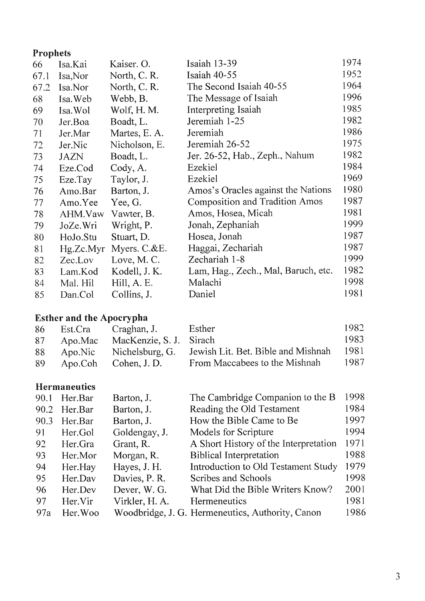## **Prophets**

| 66   | Isa.Kai     | Kaiser. O.      | Isaiah 13-39                          | 1974 |
|------|-------------|-----------------|---------------------------------------|------|
| 67.1 | Isa, Nor    | North, C. R.    | Isaiah 40-55                          | 1952 |
| 67.2 | Isa.Nor     | North, C. R.    | The Second Isaiah 40-55               | 1964 |
| 68   | Isa. Web    | Webb, B.        | The Message of Isaiah                 | 1996 |
| 69   | Isa. Wol    | Wolf, H. M.     | <b>Interpreting Isaiah</b>            | 1985 |
| 70   | Jer.Boa     | Boadt, L.       | Jeremiah 1-25                         | 1982 |
| 71   | Jer.Mar     | Martes, E. A.   | Jeremiah                              | 1986 |
| 72   | Jer.Nic     | Nicholson, E.   | Jeremiah 26-52                        | 1975 |
| 73   | <b>JAZN</b> | Boadt, L.       | Jer. 26-52, Hab., Zeph., Nahum        | 1982 |
| 74   | Eze.Cod     | Cody, A.        | Ezekiel                               | 1984 |
| 75   | Eze.Tay     | Taylor, J.      | Ezekiel                               | 1969 |
| 76   | Amo.Bar     | Barton, J.      | Amos's Oracles against the Nations    | 1980 |
| 77   | Amo.Yee     | Yee, G.         | <b>Composition and Tradition Amos</b> | 1987 |
| 78   | AHM.Vaw     | Vawter, B.      | Amos, Hosea, Micah                    | 1981 |
| 79   | JoZe.Wri    | Wright, P.      | Jonah, Zephaniah                      | 1999 |
| 80   | HoJo.Stu    | Stuart, D.      | Hosea, Jonah                          | 1987 |
| 81   | Hg.Zc.Myr   | Myers. $C.\&E.$ | Haggai, Zechariah                     | 1987 |
| 82   | Zec.Lov     | Love, M.C.      | Zechariah 1-8                         | 1999 |
| 83   | Lam.Kod     | Kodell, J. K.   | Lam, Hag., Zech., Mal, Baruch, etc.   | 1982 |
| 84   | Mal. Hil    | Hill, A. E.     | Malachi                               | 1998 |
| 85   | Dan.Col     | Collins, J.     | Daniel                                | 1981 |

# **Esther and the Apocrypha**

| 86 | Est.Cra    | Craghan, J.             | Esther                             | 1982 |
|----|------------|-------------------------|------------------------------------|------|
| 87 | Apo.Mac    | MacKenzie, S. J. Sirach |                                    | 1983 |
|    | 88 Apo.Nic | Nichelsburg, G.         | Jewish Lit. Bet. Bible and Mishnah | 1981 |
| 89 |            | Apo.Coh Cohen, J. D.    | From Maccabees to the Mishnah      | 1987 |

#### **Hermaneutics**

| 90.1 | Her.Bar  | Barton, J.     | The Cambridge Companion to the B                 | 1998 |
|------|----------|----------------|--------------------------------------------------|------|
| 90.2 | Her.Bar  | Barton, J.     | Reading the Old Testament                        | 1984 |
| 90.3 | Her.Bar  | Barton, J.     | How the Bible Came to Be                         | 1997 |
| 91   | Her.Gol  | Goldengay, J.  | Models for Scripture                             | 1994 |
| 92   | Her.Gra  | Grant, R.      | A Short History of the Interpretation            | 1971 |
| -93  | Her.Mor  | Morgan, R.     | <b>Biblical Interpretation</b>                   | 1988 |
| 94   | Her.Hay  | Hayes, J. H.   | Introduction to Old Testament Study              | 1979 |
| 95   | Her.Dav  | Davies, P.R.   | Scribes and Schools                              | 1998 |
| 96   | Her.Dev  | Dever, W. G.   | What Did the Bible Writers Know?                 | 2001 |
| 97   | Her.Vir  | Virkler, H. A. | Hermeneutics                                     | 1981 |
| 97a  | Her. Woo |                | Woodbridge, J. G. Hermeneutics, Authority, Canon | 1986 |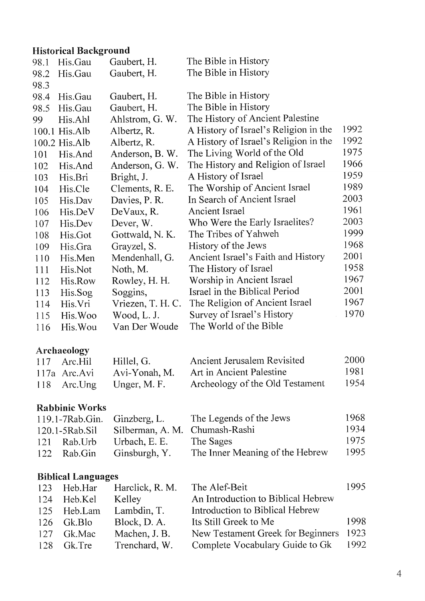# **Historical Background**

|      | filstofical dackglouhu    |                   |                                       |      |
|------|---------------------------|-------------------|---------------------------------------|------|
| 98.1 | His.Gau                   | Gaubert, H.       | The Bible in History                  |      |
| 98.2 | His.Gau                   | Gaubert, H.       | The Bible in History                  |      |
| 98.3 |                           |                   |                                       |      |
| 98.4 | His.Gau                   | Gaubert, H.       | The Bible in History                  |      |
| 98.5 | His.Gau                   | Gaubert, H.       | The Bible in History                  |      |
| 99   | His.Ahl                   | Ahlstrom, G. W.   | The History of Ancient Palestine      |      |
|      | 100.1 His.Alb             | Albertz, R.       | A History of Israel's Religion in the | 1992 |
|      | 100.2 His.Alb             | Albertz, R.       | A History of Israel's Religion in the | 1992 |
| 101  | His.And                   | Anderson, B. W.   | The Living World of the Old           | 1975 |
| 102  | His.And                   | Anderson, G. W.   | The History and Religion of Israel    | 1966 |
| 103  | His.Bri                   | Bright, J.        | A History of Israel                   | 1959 |
| 104  | His.Cle                   | Clements, R. E.   | The Worship of Ancient Israel         | 1989 |
| 105  | His.Dav                   | Davies, P.R.      | In Search of Ancient Israel           | 2003 |
| 106  | His.DeV                   | DeVaux, R.        | Ancient Israel                        | 1961 |
| 107  | His.Dev                   | Dever, W.         | Who Were the Early Israelites?        | 2003 |
| 108  | His.Got                   | Gottwald, N. K.   | The Tribes of Yahweh                  | 1999 |
| 109  | His.Gra                   | Grayzel, S.       | History of the Jews                   | 1968 |
| 110  | His.Men                   | Mendenhall, G.    | Ancient Israel's Faith and History    | 2001 |
| 111  | His.Not                   | Noth, M.          | The History of Israel                 | 1958 |
| 112  | His.Row                   | Rowley, H. H.     | Worship in Ancient Israel             | 1967 |
| 113  | His.Sog                   | Soggins,          | Israel in the Biblical Period         | 2001 |
| 114  | His.Vri                   | Vriezen, T. H. C. | The Religion of Ancient Israel        | 1967 |
| 115  | His. Woo                  | Wood, L. J.       | Survey of Israel's History            | 1970 |
| 116  | His. Wou                  | Van Der Woude     | The World of the Bible                |      |
|      | Archaeology               |                   |                                       |      |
| 117  | Arc.Hil                   | Hillel, G.        | Ancient Jerusalem Revisited           | 2000 |
|      | 117a Arc.Avi              | Avi-Yonah, M.     | Art in Ancient Palestine              | 1981 |
| 118  | Arc.Ung                   | Unger, M. F.      | Archeology of the Old Testament       | 1954 |
|      | <b>Rabbinic Works</b>     |                   |                                       |      |
|      | 119.1-7Rab.Gin.           | Ginzberg, L.      | The Legends of the Jews               | 1968 |
|      | 120.1-5Rab.Sil            | Silberman, A. M.  | Chumash-Rashi                         | 1934 |
| 121  | Rab.Urb                   | Urbach, E. E.     | The Sages                             | 1975 |
| 122  | Rab.Gin                   | Ginsburgh, Y.     | The Inner Meaning of the Hebrew       | 1995 |
|      | <b>Biblical Languages</b> |                   |                                       |      |
| 123  | Heb.Har                   | Harclick, R. M.   | The Alef-Beit                         | 1995 |
| 124  | Heb.Kel                   | Kelley            | An Introduction to Biblical Hebrew    |      |
| 125  | Heb.Lam                   | Lambdin, T.       | Introduction to Biblical Hebrew       |      |
| 126  | Gk.Blo                    | Block, D. A.      | Its Still Greek to Me                 | 1998 |
| 127  | Gk.Mac                    | Machen, J. B.     | New Testament Greek for Beginners     | 1923 |
| 128  | Gk.Tre                    | Trenchard, W.     | Complete Vocabulary Guide to Gk       | 1992 |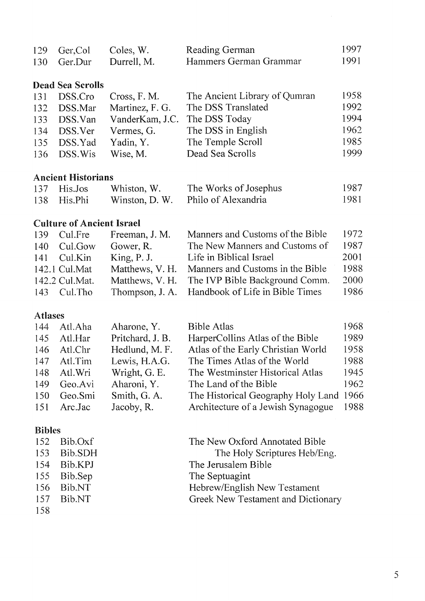| 129 Ger.Col | Coles, W.   | Reading German         | 1997 |
|-------------|-------------|------------------------|------|
| 130 Ger.Dur | Durrell, M. | Hammers German Grammar | 1991 |

### **Dead Sea Scrolls**

|     | 131 DSS.Cro | Cross, F. M.    | The Ancient Library of Qumran | 1958 |
|-----|-------------|-----------------|-------------------------------|------|
| 132 | DSS.Mar     | Martinez, F. G. | The DSS Translated            | 1992 |
| 133 | DSS.Van     | VanderKam, J.C. | The DSS Today                 | 1994 |
| 134 | DSS.Ver     | Vermes, G.      | The DSS in English            | 1962 |
| 135 | DSS.Yad     | Yadin, Y.       | The Temple Scroll             | 1985 |
| 136 | DSS.Wis     | Wise, M.        | Dead Sea Scrolls              | 1999 |

#### **Ancient Historians**

| $137$ His.Jos | Whiston, W. | The Works of Josephus              | 1987 |
|---------------|-------------|------------------------------------|------|
| 138 His.Phi   |             | Winston, D. W. Philo of Alexandria | 1981 |

### **Culture of Ancient Israel**

|     | 139 Cul.Fre    | Freeman, J. M.  | Manners and Customs of the Bible                | 1972 |
|-----|----------------|-----------------|-------------------------------------------------|------|
| 140 | Cul.Gow        | Gower, R.       | The New Manners and Customs of                  | 1987 |
|     | 141 Cul.Kin    | King, P. J.     | Life in Biblical Israel                         | 2001 |
|     | 142.1 Cul.Mat  | Matthews, V. H. | Manners and Customs in the Bible                | 1988 |
|     | 142.2 Cul.Mat. | Matthews, V. H. | The IVP Bible Background Comm.                  | 2000 |
|     | 143 Cul.Tho    |                 | Thompson, J. A. Handbook of Life in Bible Times | 1986 |

#### **Atlases**

|     | 144 Atl.Aha | Aharone, Y.      | <b>Bible Atlas</b>                      | 1968 |
|-----|-------------|------------------|-----------------------------------------|------|
| 145 | Atl.Har     | Pritchard, J. B. | HarperCollins Atlas of the Bible        | 1989 |
|     | 146 Atl.Chr | Hedlund, M. F.   | Atlas of the Early Christian World      | 1958 |
|     | 147 Atl.Tim | Lewis, H.A.G.    | The Times Atlas of the World            | 1988 |
| 148 | Atl.Wri     | Wright, G. E.    | The Westminster Historical Atlas        | 1945 |
| 149 | Geo.Avi     | Aharoni, Y.      | The Land of the Bible                   | 1962 |
| 150 | Geo.Smi     | Smith, G. A.     | The Historical Geography Holy Land 1966 |      |
|     | 151 Arc.Jac | Jacoby, R.       | Architecture of a Jewish Synagogue 1988 |      |
|     |             |                  |                                         |      |

#### **Bibles**

|         | $152$ Bib.Oxf | The New Oxford Annotated Bible     |
|---------|---------------|------------------------------------|
| $153 -$ | Bib.SDH       | The Holy Scriptures Heb/Eng.       |
|         | 154 Bib.KPJ   | The Jerusalem Bible                |
|         | 155 Bib.Sep   | The Septuagint                     |
|         | $156$ Bib.NT  | Hebrew/English New Testament       |
|         | $157$ Bib.NT  | Greek New Testament and Dictionary |
| 158     |               |                                    |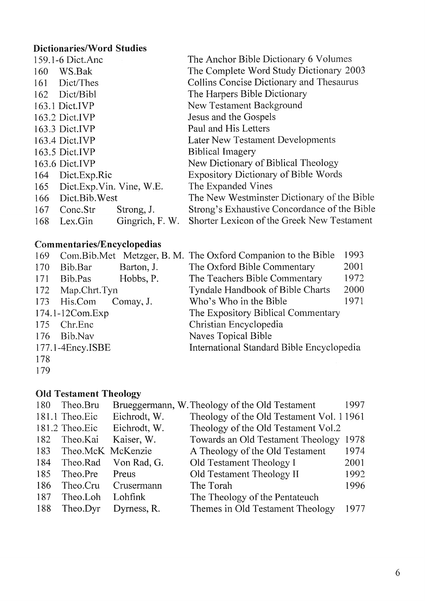## Dictionaries/Word Studies

|     | 159.1-6 Dict.Anc             |                 | The Anchor Bible Dictionary 6 Volumes        |
|-----|------------------------------|-----------------|----------------------------------------------|
| 160 | WS.Bak                       |                 | The Complete Word Study Dictionary 2003      |
|     | 161 Dict/Thes                |                 | Collins Concise Dictionary and Thesaurus     |
|     | 162 Dict/Bibl                |                 | The Harpers Bible Dictionary                 |
|     | 163.1 Dict.IVP               |                 | <b>New Testament Background</b>              |
|     | $163.2$ Dict.IVP             |                 | Jesus and the Gospels                        |
|     | 163.3 Dict.IVP               |                 | Paul and His Letters                         |
|     | 163.4 Dict.IVP               |                 | Later New Testament Developments             |
|     | 163.5 Dict.IVP               |                 | <b>Biblical Imagery</b>                      |
|     | 163.6 Dict.IVP               |                 | New Dictionary of Biblical Theology          |
| 164 | Dict.Exp.Ric                 |                 | <b>Expository Dictionary of Bible Words</b>  |
|     | 165 Dict.Exp.Vin. Vine, W.E. |                 | The Expanded Vines                           |
|     | 166 Dict.Bib.West            |                 | The New Westminster Dictionary of the Bible  |
|     | 167 Conc.Str                 | Strong, J.      | Strong's Exhaustive Concordance of the Bible |
| 168 | Lex.Gin                      | Gingrich, F. W. | Shorter Lexicon of the Greek New Testament   |
|     |                              |                 |                                              |

# Commentaries/Encyclopedias

| 169 |                     |            | Com. Bib. Met Metzger, B. M. The Oxford Companion to the Bible | 1993 |
|-----|---------------------|------------|----------------------------------------------------------------|------|
| 170 | Bib.Bar             | Barton, J. | The Oxford Bible Commentary                                    | 2001 |
| 171 | Bib.Pas             | Hobbs, P.  | The Teachers Bible Commentary                                  | 1972 |
| 172 | Map.Chrt.Tyn        |            | <b>Tyndale Handbook of Bible Charts</b>                        | 2000 |
|     | 173 His.Com         | Comay, J.  | Who's Who in the Bible                                         | 1971 |
|     | $174.1 - 12Com.Exp$ |            | The Expository Biblical Commentary                             |      |
|     | 175 Chr.Enc         |            | Christian Encyclopedia                                         |      |
| 176 | Bib.Nav             |            | <b>Naves Topical Bible</b>                                     |      |
|     | 177.1-4Ency.ISBE    |            | International Standard Bible Encyclopedia                      |      |
| 178 |                     |            |                                                                |      |
|     |                     |            |                                                                |      |

179

#### Old Testament Theology

| 180 | Theo.Bru          |              | Brueggermann, W. Theology of the Old Testament | 1997 |
|-----|-------------------|--------------|------------------------------------------------|------|
|     | 181.1 Theo.Eic    | Eichrodt, W. | Theology of the Old Testament Vol. 11961       |      |
|     | 181.2 Theo.Eic    | Eichrodt, W. | Theology of the Old Testament Vol.2            |      |
| 182 | Theo.Kai          | Kaiser, W.   | Towards an Old Testament Theology              | 1978 |
| 183 | Theo.McK McKenzie |              | A Theology of the Old Testament                | 1974 |
| 184 | Theo.Rad          | Von Rad, G.  | Old Testament Theology I                       | 2001 |
| 185 | Theo.Pre          | Preus        | Old Testament Theology II                      | 1992 |
| 186 | Theo.Cru          | Crusermann   | The Torah                                      | 1996 |
| 187 | Theo.Loh          | Lohfink      | The Theology of the Pentateuch                 |      |
| 188 | Theo.Dyr          | Dyrness, R.  | Themes in Old Testament Theology               | 1977 |
|     |                   |              |                                                |      |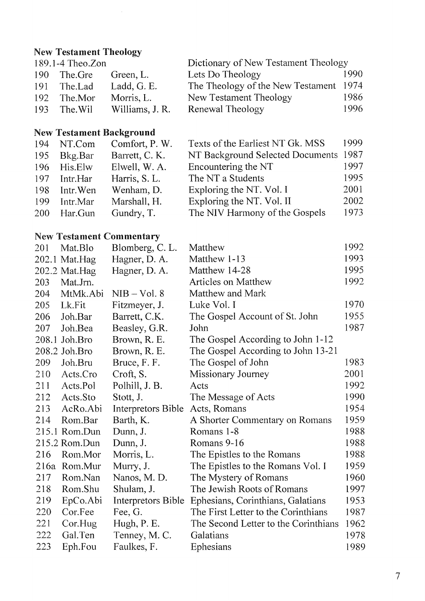# New Testament Theology

| 189.1-4 Theo.Zon |             |                 | Dictionary of New Testament Theology   |      |  |
|------------------|-------------|-----------------|----------------------------------------|------|--|
|                  | 190 The.Gre | Green, L.       | Lets Do Theology                       | 1990 |  |
| 191              | The.Lad     | Ladd, G. E.     | The Theology of the New Testament 1974 |      |  |
| 192              | The Mor     | Morris, L.      | New Testament Theology                 | 1986 |  |
| 193              | The Wil     | Williams, J. R. | Renewal Theology                       | 1996 |  |

# New Testament Background

| 194        | NT.Com    | Comfort, P. W. | Texts of the Earliest NT Gk. MSS | 1999 |
|------------|-----------|----------------|----------------------------------|------|
| 195        | Bkg.Bar   | Barrett, C. K. | NT Background Selected Documents | 1987 |
| 196        | His.Elw   | Elwell, W. A.  | Encountering the NT              | 1997 |
| 197        | Intr.Har  | Harris, S. L.  | The NT a Students                | 1995 |
| 198        | Intr. Wen | Wenham, D.     | Exploring the NT. Vol. I         | 2001 |
| 199        | Intr.Mar  | Marshall, H.   | Exploring the NT. Vol. II        | 2002 |
| <b>200</b> | Har.Gun   | Gundry, T.     | The NIV Harmony of the Gospels   | 1973 |

# New Testament Commentary

| 201 | Mat.Blo       | Blomberg, C.L.     | Matthew                              | 1992 |
|-----|---------------|--------------------|--------------------------------------|------|
|     | 202.1 Mat.Hag | Hagner, D. A.      | Matthew 1-13                         | 1993 |
|     | 202.2 Mat.Hag | Hagner, D. A.      | Matthew 14-28                        | 1995 |
| 203 | Mat.Jrn.      |                    | <b>Articles on Matthew</b>           | 1992 |
| 204 | MtMk.Abi      | $NIB - Vol. 8$     | Matthew and Mark                     |      |
| 205 | Lk.Fit        | Fitzmeyer, J.      | Luke Vol. I                          | 1970 |
| 206 | Joh.Bar       | Barrett, C.K.      | The Gospel Account of St. John       | 1955 |
| 207 | Joh.Bea       | Beasley, G.R.      | John                                 | 1987 |
|     | 208.1 Joh.Bro | Brown, R. E.       | The Gospel According to John 1-12    |      |
|     | 208.2 Joh.Bro | Brown, R. E.       | The Gospel According to John 13-21   |      |
| 209 | Joh.Bru       | Bruce, F. F.       | The Gospel of John                   | 1983 |
| 210 | Acts.Cro      | Croft, S.          | Missionary Journey                   | 2001 |
| 211 | Acts.Pol      | Polhill, J. B.     | Acts                                 | 1992 |
| 212 | Acts.Sto      | Stott, J.          | The Message of Acts                  | 1990 |
| 213 | AcRo.Abi      | Interpretors Bible | Acts, Romans                         | 1954 |
| 214 | Rom.Bar       | Barth, K.          | A Shorter Commentary on Romans       | 1959 |
|     | 215.1 Rom.Dun | Dunn, J.           | Romans 1-8                           | 1988 |
|     | 215.2 Rom.Dun | Dunn, J.           | Romans 9-16                          | 1988 |
| 216 | Rom.Mor       | Morris, L.         | The Epistles to the Romans           | 1988 |
|     | 216a Rom.Mur  | Murry, J.          | The Epistles to the Romans Vol. I    | 1959 |
| 217 | Rom.Nan       | Nanos, M. D.       | The Mystery of Romans                | 1960 |
| 218 | Rom.Shu       | Shulam, J.         | The Jewish Roots of Romans           | 1997 |
| 219 | EpCo.Abi      | Interpretors Bible | Ephesians, Corinthians, Galatians    | 1953 |
| 220 | Cor.Fee       | Fee, G.            | The First Letter to the Corinthians  | 1987 |
| 221 | Cor.Hug       | Hugh, P. E.        | The Second Letter to the Corinthians | 1962 |
| 222 | Gal.Ten       | Tenney, M. C.      | Galatians                            | 1978 |
| 223 | Eph.Fou       | Faulkes, F.        | Ephesians                            | 1989 |
|     |               |                    |                                      |      |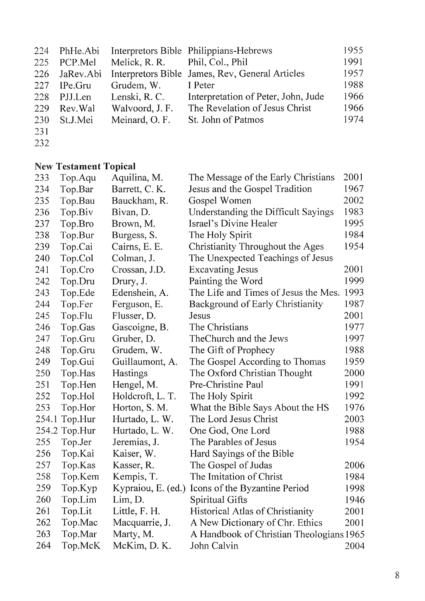| 224        | PhHe.Abi      |                                | Interpretors Bible Philippians-Hebrews          | 1955 |
|------------|---------------|--------------------------------|-------------------------------------------------|------|
| 225        | PCP.Mel       | Melick, R. R. Phil, Col., Phil |                                                 | 1991 |
|            | 226 JaRev.Abi |                                | Interpretors Bible James, Rev, General Articles | 1957 |
| 227        | IPe.Gru       | Grudem, W.                     | I Peter                                         | 1988 |
| 228        | PJJ.Len       | Lenski, R. C.                  | Interpretation of Peter, John, Jude             | 1966 |
| 229        | Rev. Wal      | Walvoord, J.F.                 | The Revelation of Jesus Christ                  | 1966 |
| <b>230</b> | St.J.Mei      | Meinard, O.F.                  | St. John of Patmos                              | 1974 |
| 231        |               |                                |                                                 |      |

232

# New Testament Topical

| 233 | Top.Aqu       | Aquilina, M.       | The Message of the Early Christians      | 2001 |
|-----|---------------|--------------------|------------------------------------------|------|
| 234 | Top.Bar       | Barrett, C. K.     | Jesus and the Gospel Tradition           | 1967 |
| 235 | Top.Bau       | Bauckham, R.       | Gospel Women                             | 2002 |
| 236 | Top.Biv       | Bivan, D.          | Understanding the Difficult Sayings      | 1983 |
| 237 | Top.Bro       | Brown, M.          | Israel's Divine Healer                   | 1995 |
| 238 | Top.Bur       | Burgess, S.        | The Holy Spirit                          | 1984 |
| 239 | Top.Cai       | Cairns, E. E.      | Christianity Throughout the Ages         | 1954 |
| 240 | Top.Col       | Colman, J.         | The Unexpected Teachings of Jesus        |      |
| 241 | Top.Cro       | Crossan, J.D.      | <b>Excavating Jesus</b>                  | 2001 |
| 242 | Top.Dru       | Drury, J.          | Painting the Word                        | 1999 |
| 243 | Top.Ede       | Edenshein, A.      | The Life and Times of Jesus the Mes.     | 1993 |
| 244 | Top.Fer       | Ferguson, E.       | <b>Background of Early Christianity</b>  | 1987 |
| 245 | Top.Flu       | Flusser, D.        | Jesus                                    | 2001 |
| 246 | Top.Gas       | Gascoigne, B.      | The Christians                           | 1977 |
| 247 | Top.Gru       | Gruber, D.         | The Church and the Jews                  | 1997 |
| 248 | Top.Gru       | Grudem, W.         | The Gift of Prophecy                     | 1988 |
| 249 | Top.Gui       | Guillaumont, A.    | The Gospel According to Thomas           | 1959 |
| 250 | Top.Has       | Hastings           | The Oxford Christian Thought             | 2000 |
| 251 | Top.Hen       | Hengel, M.         | Pre-Christine Paul                       | 1991 |
| 252 | Top.Hol       | Holdcroft, L. T.   | The Holy Spirit                          | 1992 |
| 253 | Top.Hor       | Horton, S. M.      | What the Bible Says About the HS         | 1976 |
|     | 254.1 Top.Hur | Hurtado, L. W.     | The Lord Jesus Christ                    | 2003 |
|     | 254.2 Top.Hur | Hurtado, L. W.     | One God, One Lord                        | 1988 |
| 255 | Top.Jer       | Jeremias, J.       | The Parables of Jesus                    | 1954 |
| 256 | Top.Kai       | Kaiser, W.         | Hard Sayings of the Bible                |      |
| 257 | Top.Kas       | Kasser, R.         | The Gospel of Judas                      | 2006 |
| 258 | Top.Kem       | Kempis, T.         | The Imitation of Christ                  | 1984 |
| 259 | Top.Kyp       | Kypraiou, E. (ed.) | Icons of the Byzantine Period            | 1998 |
| 260 | Top.Lim       | Lim, D.            | Spiritual Gifts                          | 1946 |
| 261 | Top.Lit       | Little, F. H.      | Historical Atlas of Christianity         | 2001 |
| 262 | Top.Mac       | Macquarrie, J.     | A New Dictionary of Chr. Ethics          | 2001 |
| 263 | Top.Mar       | Marty, M.          | A Handbook of Christian Theologians 1965 |      |
| 264 | Top.McK       | McKim, D. K.       | John Calvin                              | 2004 |
|     |               |                    |                                          |      |

 $\hat{\boldsymbol{\beta}}$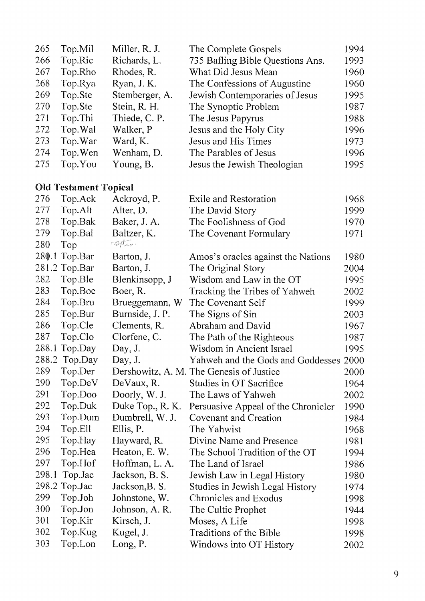| 265   | Top.Mil                      | Miller, R. J.    | The Complete Gospels                     | 1994 |
|-------|------------------------------|------------------|------------------------------------------|------|
| 266   | Top.Ric                      | Richards, L.     | 735 Bafling Bible Questions Ans.         | 1993 |
| 267   | Top.Rho                      | Rhodes, R.       | What Did Jesus Mean                      | 1960 |
| 268   | Top.Rya                      | Ryan, J. K.      | The Confessions of Augustine             | 1960 |
| 269   | Top.Ste                      | Stemberger, A.   | Jewish Contemporaries of Jesus           | 1995 |
| 270   | Top.Ste                      | Stein, R. H.     | The Synoptic Problem                     | 1987 |
| 271   | Top.Thi                      | Thiede, C. P.    | The Jesus Papyrus                        | 1988 |
| 272   | Top. Wal                     | Walker, P        | Jesus and the Holy City                  | 1996 |
| 273   | Top. War                     | Ward, K.         | Jesus and His Times                      | 1973 |
| 274   | Top. Wen                     | Wenham, D.       | The Parables of Jesus                    | 1996 |
| 275   | Top.You                      | Young, B.        | Jesus the Jewish Theologian              | 1995 |
|       | <b>Old Testament Topical</b> |                  |                                          |      |
| 276   | Top.Ack                      | Ackroyd, P.      | <b>Exile and Restoration</b>             | 1968 |
| 277   | Top.Alt                      | Alter, D.        | The David Story                          | 1999 |
| 278   | Top.Bak                      | Baker, J. A.     | The Foolishness of God                   | 1970 |
| 279   | Top.Bal                      | Baltzer, K.      | The Covenant Formulary                   | 1971 |
| 280   | Top                          | ception          |                                          |      |
| 280.1 | Top.Bar                      | Barton, J.       | Amos's oracles against the Nations       | 1980 |
|       | 281.2 Top.Bar                | Barton, J.       | The Original Story                       | 2004 |
| 282   | Top.Ble                      | Blenkinsopp, J   | Wisdom and Law in the OT                 | 1995 |
| 283   | Top.Boe                      | Boer, R.         | Tracking the Tribes of Yahweh            | 2002 |
| 284   | Top.Bru                      | Brueggemann, W   | The Covenant Self                        | 1999 |
| 285   | Top.Bur                      | Burnside, J. P.  | The Signs of Sin                         | 2003 |
| 286   | Top.Cle                      | Clements, R.     | Abraham and David                        | 1967 |
| 287   | Top.Clo                      | Clorfene, C.     | The Path of the Righteous                | 1987 |
| 288.1 | Top.Day                      | Day, J.          | Wisdom in Ancient Israel                 | 1995 |
|       | 288.2 Top.Day                | Day, J.          | Yahweh and the Gods and Goddesses 2000   |      |
| 289   | Top.Der                      |                  | Dershowitz, A. M. The Genesis of Justice | 2000 |
| 290   | Top.DeV                      | DeVaux, R.       | Studies in OT Sacrifice                  | 1964 |
| 291   | Top.Doo                      | Doorly, W. J.    | The Laws of Yahweh                       | 2002 |
| 292   | Top.Duk                      | Duke Top., R. K. | Persuasive Appeal of the Chronicler      | 1990 |
| 293   | Top.Dum                      | Dumbrell, W. J.  | Covenant and Creation                    | 1984 |
| 294   | Top.Ell                      | Ellis, P.        | The Yahwist                              | 1968 |
| 295   | Top.Hay                      | Hayward, R.      | Divine Name and Presence                 | 1981 |
| 296   | Top.Hea                      | Heaton, E. W.    | The School Tradition of the OT           | 1994 |
| 297   | Top.Hof                      | Hoffman, L. A.   | The Land of Israel                       | 1986 |
| 298.1 | Top.Jac                      | Jackson, B. S.   | Jewish Law in Legal History              | 1980 |
|       | 298.2 Top.Jac                | Jackson, B. S.   | Studies in Jewish Legal History          | 1974 |
| 299   | Top.Joh                      | Johnstone, W.    | <b>Chronicles and Exodus</b>             | 1998 |
| 300   | Top.Jon                      | Johnson, A. R.   | The Cultic Prophet                       | 1944 |
| 301   | Top.Kir                      | Kirsch, J.       | Moses, A Life                            | 1998 |
| 302   | Top.Kug                      | Kugel, J.        | Traditions of the Bible                  | 1998 |
| 303   | Top.Lon                      | Long, P.         | Windows into OT History                  | 2002 |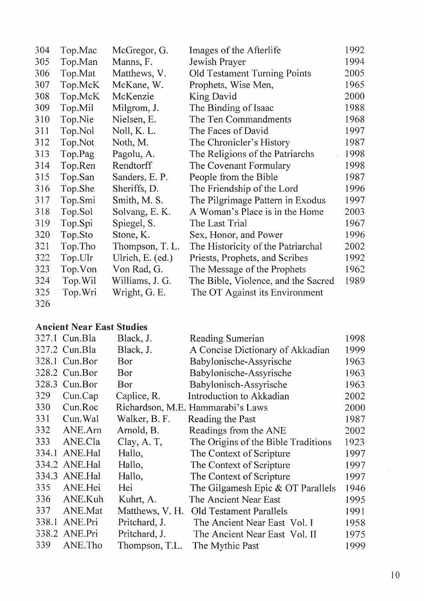| 304 | Top.Mac  | McGregor, G.     | Images of the Afterlife             | 1992 |
|-----|----------|------------------|-------------------------------------|------|
| 305 | Top.Man  | Manns, F.        | Jewish Prayer                       | 1994 |
| 306 | Top.Mat  | Matthews, V.     | <b>Old Testament Turning Points</b> | 2005 |
| 307 | Top.McK  | McKane, W.       | Prophets, Wise Men,                 | 1965 |
| 308 | Top.McK  | McKenzie         | King David                          | 2000 |
| 309 | Top.Mil  | Milgrom, J.      | The Binding of Isaac                | 1988 |
| 310 | Top.Nie  | Nielsen, E.      | The Ten Commandments                | 1968 |
| 311 | Top.Nol  | Noll, K. L.      | The Faces of David                  | 1997 |
| 312 | Top.Not  | Noth, M.         | The Chronicler's History            | 1987 |
| 313 | Top.Pag  | Pagolu, A.       | The Religions of the Patriarchs     | 1998 |
| 314 | Top.Ren  | Rendtorff        | The Covenant Formulary              | 1998 |
| 315 | Top.San  | Sanders, E.P.    | People from the Bible               | 1987 |
| 316 | Top.She  | Sheriffs, D.     | The Friendship of the Lord          | 1996 |
| 317 | Top.Smi  | Smith, M. S.     | The Pilgrimage Pattern in Exodus    | 1997 |
| 318 | Top.Sol  | Solvang, E.K.    | A Woman's Place is in the Home      | 2003 |
| 319 | Top.Spi  | Spiegel, S.      | The Last Trial                      | 1967 |
| 320 | Top.Sto  | Stone, K.        | Sex, Honor, and Power               | 1996 |
| 321 | Top. Tho | Thompson, T. L.  | The Historicity of the Patriarchal  | 2002 |
| 322 | Top.Ulr  | Ulrich, E. (ed.) | Priests, Prophets, and Scribes      | 1992 |
| 323 | Top.Von  | Von Rad, G.      | The Message of the Prophets         | 1962 |
| 324 | Top. Wil | Williams, J. G.  | The Bible, Violence, and the Sacred | 1989 |
| 325 | Top.Wri  | Wright, G. E.    | The OT Against its Environment      |      |
| 326 |          |                  |                                     |      |

## **Ancient Near East Studies**

|       | 327.1 Cun. Bla | Black, J.       | Reading Sumerian                    | 1998 |
|-------|----------------|-----------------|-------------------------------------|------|
|       | 327.2 Cun.Bla  | Black, J.       | A Concise Dictionary of Akkadian    | 1999 |
|       | 328.1 Cun.Bor  | Bor             | Babylonische-Assyrische             | 1963 |
|       | 328.2 Cun.Bor  | Bor             | Babylonische-Assyrische             | 1963 |
|       | 328.3 Cun.Bor  | Bor             | Babylonisch-Assyrische              | 1963 |
| 329   | Cun.Cap        | Caplice, R.     | Introduction to Akkadian            | 2002 |
| 330   | Cun.Roc        |                 | Richardson, M.E. Hammarabi's Laws   | 2000 |
| 331   | Cun. Wal       | Walker, B. F.   | Reading the Past                    | 1987 |
| 332   | ANE.Am         | Arnold, B.      | Readings from the ANE               | 2002 |
| 333   | ANE.Cla        | Clay, A.T.      | The Origins of the Bible Traditions | 1923 |
| 334.1 | ANE.Hal        | Hallo,          | The Context of Scripture            | 1997 |
|       | 334.2 ANE.Hal  | Hallo,          | The Context of Scripture            | 1997 |
| 334.3 | ANE.Hal        | Hallo,          | The Context of Scripture            | 1997 |
| 335   | ANE.Hei        | Hei             | The Gilgamesh Epic $&$ OT Parallels | 1946 |
| 336   | ANE.Kuh        | Kuhrt, A.       | The Ancient Near East               | 1995 |
| 337   | <b>ANE.Mat</b> | Matthews, V. H. | <b>Old Testament Parallels</b>      | 1991 |
|       | 338.1 ANE.Pri  | Pritchard, J.   | The Ancient Near East Vol. I        | 1958 |
|       | 338.2 ANE.Pri  | Pritchard, J.   | The Ancient Near East Vol. II       | 1975 |
| 339   | ANE.Tho        | Thompson, T.L.  | The Mythic Past                     | 1999 |
|       |                |                 |                                     |      |